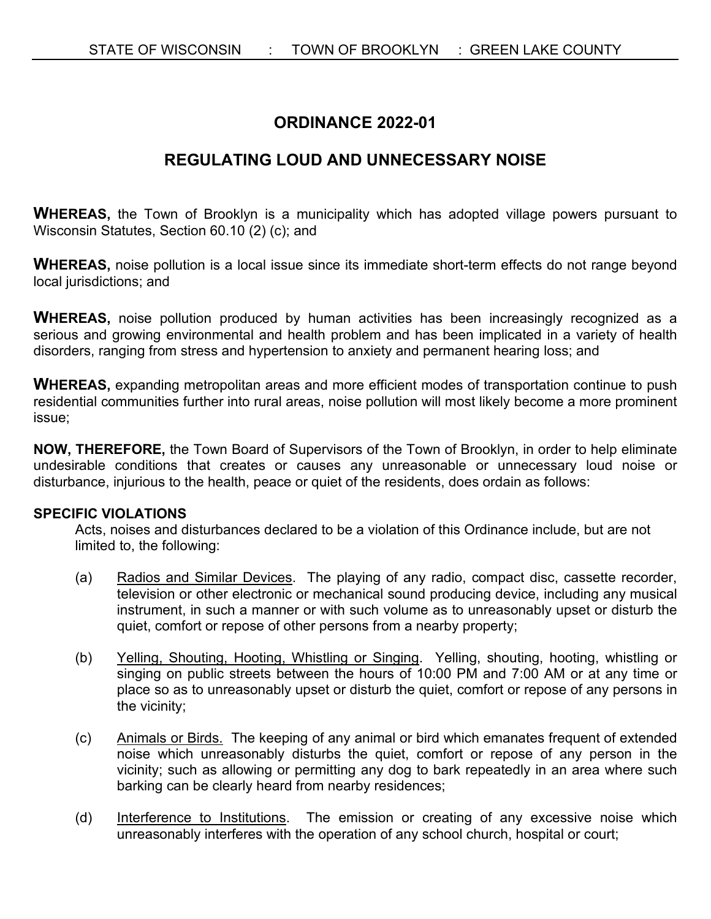# **ORDINANCE 2022-01**

# **REGULATING LOUD AND UNNECESSARY NOISE**

**WHEREAS,** the Town of Brooklyn is a municipality which has adopted village powers pursuant to Wisconsin Statutes, Section 60.10 (2) (c); and

**WHEREAS,** noise pollution is a local issue since its immediate short-term effects do not range beyond local jurisdictions; and

WHEREAS, noise pollution produced by human activities has been increasingly recognized as a serious and growing environmental and health problem and has been implicated in a variety of health disorders, ranging from stress and hypertension to anxiety and permanent hearing loss; and

**WHEREAS,** expanding metropolitan areas and more efficient modes of transportation continue to push residential communities further into rural areas, noise pollution will most likely become a more prominent issue;

**NOW, THEREFORE,** the Town Board of Supervisors of the Town of Brooklyn, in order to help eliminate undesirable conditions that creates or causes any unreasonable or unnecessary loud noise or disturbance, injurious to the health, peace or quiet of the residents, does ordain as follows:

### **SPECIFIC VIOLATIONS**

Acts, noises and disturbances declared to be a violation of this Ordinance include, but are not limited to, the following:

- (a) Radios and Similar Devices. The playing of any radio, compact disc, cassette recorder, television or other electronic or mechanical sound producing device, including any musical instrument, in such a manner or with such volume as to unreasonably upset or disturb the quiet, comfort or repose of other persons from a nearby property;
- (b) Yelling, Shouting, Hooting, Whistling or Singing. Yelling, shouting, hooting, whistling or singing on public streets between the hours of 10:00 PM and 7:00 AM or at any time or place so as to unreasonably upset or disturb the quiet, comfort or repose of any persons in the vicinity;
- (c) Animals or Birds. The keeping of any animal or bird which emanates frequent of extended noise which unreasonably disturbs the quiet, comfort or repose of any person in the vicinity; such as allowing or permitting any dog to bark repeatedly in an area where such barking can be clearly heard from nearby residences;
- (d) Interference to Institutions. The emission or creating of any excessive noise which unreasonably interferes with the operation of any school church, hospital or court;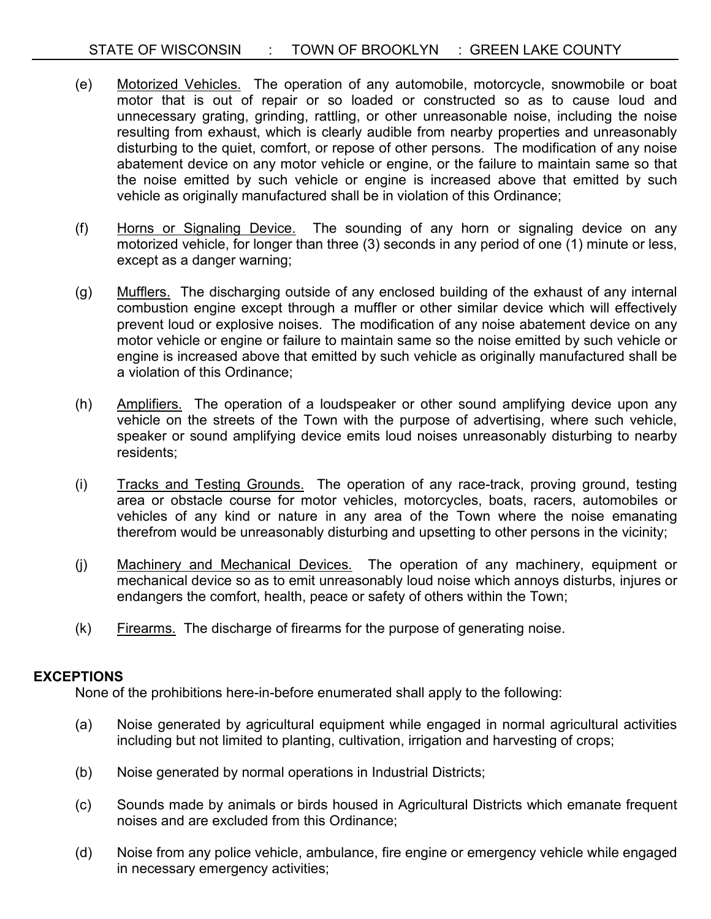- (e) Motorized Vehicles. The operation of any automobile, motorcycle, snowmobile or boat motor that is out of repair or so loaded or constructed so as to cause loud and unnecessary grating, grinding, rattling, or other unreasonable noise, including the noise resulting from exhaust, which is clearly audible from nearby properties and unreasonably disturbing to the quiet, comfort, or repose of other persons. The modification of any noise abatement device on any motor vehicle or engine, or the failure to maintain same so that the noise emitted by such vehicle or engine is increased above that emitted by such vehicle as originally manufactured shall be in violation of this Ordinance;
- (f) Horns or Signaling Device. The sounding of any horn or signaling device on any motorized vehicle, for longer than three (3) seconds in any period of one (1) minute or less, except as a danger warning;
- (g) Mufflers. The discharging outside of any enclosed building of the exhaust of any internal combustion engine except through a muffler or other similar device which will effectively prevent loud or explosive noises. The modification of any noise abatement device on any motor vehicle or engine or failure to maintain same so the noise emitted by such vehicle or engine is increased above that emitted by such vehicle as originally manufactured shall be a violation of this Ordinance;
- (h) Amplifiers. The operation of a loudspeaker or other sound amplifying device upon any vehicle on the streets of the Town with the purpose of advertising, where such vehicle, speaker or sound amplifying device emits loud noises unreasonably disturbing to nearby residents;
- (i) Tracks and Testing Grounds. The operation of any race-track, proving ground, testing area or obstacle course for motor vehicles, motorcycles, boats, racers, automobiles or vehicles of any kind or nature in any area of the Town where the noise emanating therefrom would be unreasonably disturbing and upsetting to other persons in the vicinity;
- (j) Machinery and Mechanical Devices. The operation of any machinery, equipment or mechanical device so as to emit unreasonably loud noise which annoys disturbs, injures or endangers the comfort, health, peace or safety of others within the Town;
- (k) Firearms. The discharge of firearms for the purpose of generating noise.

## **EXCEPTIONS**

None of the prohibitions here-in-before enumerated shall apply to the following:

- (a) Noise generated by agricultural equipment while engaged in normal agricultural activities including but not limited to planting, cultivation, irrigation and harvesting of crops;
- (b) Noise generated by normal operations in Industrial Districts;
- (c) Sounds made by animals or birds housed in Agricultural Districts which emanate frequent noises and are excluded from this Ordinance;
- (d) Noise from any police vehicle, ambulance, fire engine or emergency vehicle while engaged in necessary emergency activities;